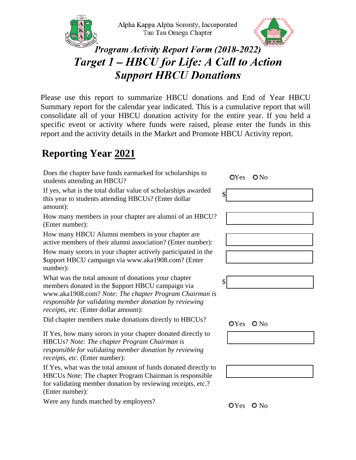



## **Program Activity Report Form (2018-2022)** Target 1 - HBCU for Life: A Call to Action **Support HBCU Donations**

Please use this report to summarize HBCU donations and End of Year HBCU Summary report for the calendar year indicated. This is a cumulative report that will consolidate all of your HBCU donation activity for the entire year. If you held a specific event or activity where funds were raised, please enter the funds in this report and the activity details in the Market and Promote HBCU Activity report.

## **Reporting Year 2021**

Does the chapter have funds earmarked for scholarships to students attending an HBCU? Yes No

If yes, what is the total dollar value of scholarships awarded this year to students attending HBCUs? (Enter dollar amount):

How many members in your chapter are alumni of an HBCU? (Enter number):

How many HBCU Alumni members in your chapter are active members of their alumni association? (Enter number):

How many sorors in your chapter actively participated in the \$upport HBCU campaign via www.aka1908.com? (Enter number):

What was the total amount of donations your chapter members donated in the \$upport HBCU campaign via www.aka1908.com? *Note: The chapter Program Chairman is responsible for validating member donation by reviewing receipts, etc.* (Enter dollar amount):

Did chapter members make donations directly to HBCUs?  $QY_{\text{es}} QN_0$ 

If Yes, how many sorors in your chapter donated directly to HBCUs? *Note: The chapter Program Chairman is responsible for validating member donation by reviewing receipts, etc.* (Enter number):

If Yes, what was the total amount of funds donated directly to HBCUs Note: The chapter Program Chairman is responsible for validating member donation by reviewing receipts, etc.? (Enter number):

Were any funds matched by employers?  $O\gamma_{\text{es}} O\ N_{\text{o}}$ 

\$ \$